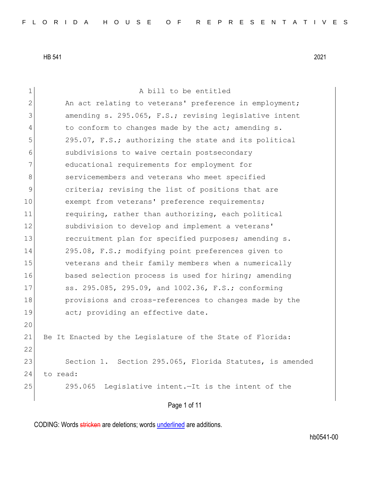| 1            | A bill to be entitled                                     |
|--------------|-----------------------------------------------------------|
| $\mathbf{2}$ | An act relating to veterans' preference in employment;    |
| 3            | amending s. 295.065, F.S.; revising legislative intent    |
| 4            | to conform to changes made by the act; amending s.        |
| 5            | 295.07, F.S.; authorizing the state and its political     |
| 6            | subdivisions to waive certain postsecondary               |
| 7            | educational requirements for employment for               |
| 8            | servicemembers and veterans who meet specified            |
| 9            | criteria; revising the list of positions that are         |
| 10           | exempt from veterans' preference requirements;            |
| 11           | requiring, rather than authorizing, each political        |
| 12           | subdivision to develop and implement a veterans'          |
| 13           | recruitment plan for specified purposes; amending s.      |
| 14           | 295.08, F.S.; modifying point preferences given to        |
| 15           | veterans and their family members when a numerically      |
| 16           | based selection process is used for hiring; amending      |
| 17           | ss. 295.085, 295.09, and 1002.36, F.S.; conforming        |
| 18           | provisions and cross-references to changes made by the    |
| 19           | act; providing an effective date.                         |
| 20           |                                                           |
| 21           | Be It Enacted by the Legislature of the State of Florida: |
| 22           |                                                           |
| 23           | Section 1. Section 295.065, Florida Statutes, is amended  |
| 24           | to read:                                                  |
| 25           | 295.065<br>Legislative intent.-It is the intent of the    |
|              |                                                           |

Page 1 of 11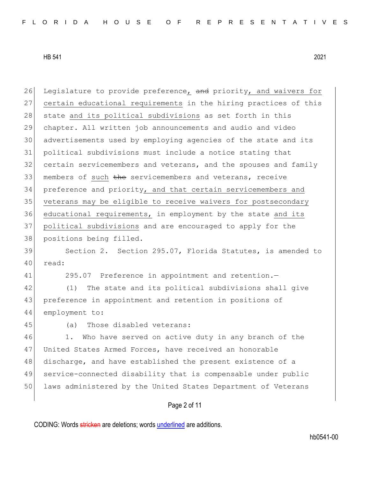| 26 | Legislature to provide preference, and priority, and waivers for |
|----|------------------------------------------------------------------|
| 27 | certain educational requirements in the hiring practices of this |
| 28 | state and its political subdivisions as set forth in this        |
| 29 | chapter. All written job announcements and audio and video       |
| 30 | advertisements used by employing agencies of the state and its   |
| 31 | political subdivisions must include a notice stating that        |
| 32 | certain servicemembers and veterans, and the spouses and family  |
| 33 | members of such the servicemembers and veterans, receive         |
| 34 | preference and priority, and that certain servicemembers and     |
| 35 | veterans may be eligible to receive waivers for postsecondary    |
| 36 | educational requirements, in employment by the state and its     |
| 37 | political subdivisions and are encouraged to apply for the       |
| 38 | positions being filled.                                          |
| 39 | Section 2. Section 295.07, Florida Statutes, is amended to       |
| 40 | read:                                                            |
| 41 | 295.07 Preference in appointment and retention.-                 |
| 42 | The state and its political subdivisions shall give<br>(1)       |
| 43 | preference in appointment and retention in positions of          |
| 44 | employment to:                                                   |
| 45 | Those disabled veterans:<br>(a)                                  |
| 46 | Who have served on active duty in any branch of the<br>1.        |
| 47 | United States Armed Forces, have received an honorable           |
| 48 | discharge, and have established the present existence of a       |
| 49 | service-connected disability that is compensable under public    |
| 50 | laws administered by the United States Department of Veterans    |
|    |                                                                  |

Page 2 of 11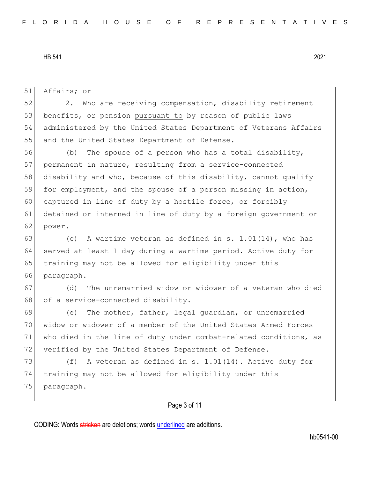Page 3 of 11 51 Affairs; or 52 2. Who are receiving compensation, disability retirement 53 benefits, or pension pursuant to by reason of public laws 54 administered by the United States Department of Veterans Affairs 55 and the United States Department of Defense. 56 (b) The spouse of a person who has a total disability, 57 permanent in nature, resulting from a service-connected 58 disability and who, because of this disability, cannot qualify 59 for employment, and the spouse of a person missing in action, 60 captured in line of duty by a hostile force, or forcibly 61 detained or interned in line of duty by a foreign government or 62 power. 63 (c) A wartime veteran as defined in s.  $1.01(14)$ , who has 64 served at least 1 day during a wartime period. Active duty for 65 training may not be allowed for eligibility under this 66 paragraph. 67 (d) The unremarried widow or widower of a veteran who died 68 of a service-connected disability. 69 (e) The mother, father, legal guardian, or unremarried 70 widow or widower of a member of the United States Armed Forces 71 who died in the line of duty under combat-related conditions, as 72 verified by the United States Department of Defense. 73  $( f )$  A veteran as defined in s. 1.01(14). Active duty for 74 training may not be allowed for eligibility under this 75 paragraph.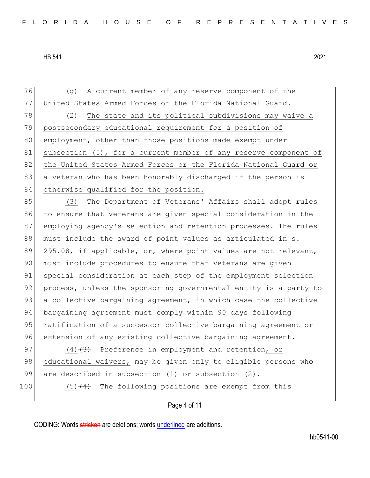76 (g) A current member of any reserve component of the 77 United States Armed Forces or the Florida National Guard. 78 (2) The state and its political subdivisions may waive a 79 postsecondary educational requirement for a position of 80 employment, other than those positions made exempt under 81 subsection (5), for a current member of any reserve component of 82 the United States Armed Forces or the Florida National Guard or 83 a veteran who has been honorably discharged if the person is 84 otherwise qualified for the position.

85 (3) The Department of Veterans' Affairs shall adopt rules 86 to ensure that veterans are given special consideration in the 87 employing agency's selection and retention processes. The rules 88 must include the award of point values as articulated in s. 89 295.08, if applicable, or, where point values are not relevant, 90 must include procedures to ensure that veterans are given 91 special consideration at each step of the employment selection 92 process, unless the sponsoring governmental entity is a party to 93 a collective bargaining agreement, in which case the collective 94 bargaining agreement must comply within 90 days following 95 ratification of a successor collective bargaining agreement or 96 extension of any existing collective bargaining agreement.

97  $(4)$   $(3)$  Preference in employment and retention, or 98 educational waivers, may be given only to eligible persons who 99 are described in subsection (1) or subsection (2).

100  $(5)$   $(4)$  The following positions are exempt from this

## Page 4 of 11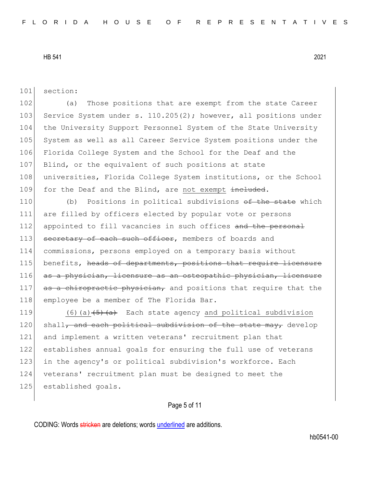101 section:

102 (a) Those positions that are exempt from the state Career 103 Service System under s. 110.205(2); however, all positions under 104 the University Support Personnel System of the State University 105 System as well as all Career Service System positions under the 106 Florida College System and the School for the Deaf and the 107 Blind, or the equivalent of such positions at state 108 universities, Florida College System institutions, or the School 109 for the Deaf and the Blind, are not exempt included.

110 (b) Positions in political subdivisions <del>of the state</del> which 111 are filled by officers elected by popular vote or persons 112 appointed to fill vacancies in such offices and the personal 113 secretary of each such officer, members of boards and 114 commissions, persons employed on a temporary basis without 115 benefits, heads of departments, positions that require licensure 116 as a physician, licensure as an osteopathic physician, licensure 117 as a chiropractic physician, and positions that require that the 118 employee be a member of The Florida Bar.

 $(6)(a)$   $\left(5\right)$   $\left(2a\right)$  Each state agency and political subdivision shall, and each political subdivision of the state may, develop and implement a written veterans' recruitment plan that establishes annual goals for ensuring the full use of veterans 123 in the agency's or political subdivision's workforce. Each veterans' recruitment plan must be designed to meet the 125 established goals.

# Page 5 of 11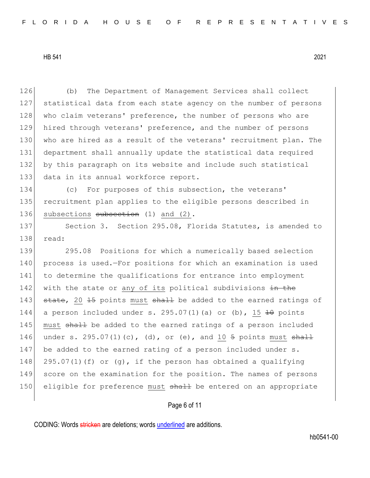(b) The Department of Management Services shall collect statistical data from each state agency on the number of persons 128 who claim veterans' preference, the number of persons who are hired through veterans' preference, and the number of persons 130 who are hired as a result of the veterans' recruitment plan. The department shall annually update the statistical data required by this paragraph on its website and include such statistical 133 data in its annual workforce report.

134 (c) For purposes of this subsection, the veterans' 135 recruitment plan applies to the eligible persons described in 136 subsections subsection (1) and (2).

137 Section 3. Section 295.08, Florida Statutes, is amended to 138 read:

139 295.08 Positions for which a numerically based selection 140 process is used.—For positions for which an examination is used 141 to determine the qualifications for entrance into employment 142 with the state or any of its political subdivisions in the 143  $\frac{143}{16}$  state, 20 15 points must shall be added to the earned ratings of 144 a person included under s. 295.07(1)(a) or (b), 15  $\pm$ 0 points 145 must shall be added to the earned ratings of a person included 146 under s. 295.07(1)(c), (d), or (e), and 10  $\frac{1}{5}$  points must  $\frac{1}{5}$ 147 be added to the earned rating of a person included under s. 148 295.07(1)(f) or (g), if the person has obtained a qualifying 149 score on the examination for the position. The names of persons 150 eligible for preference must shall be entered on an appropriate

Page 6 of 11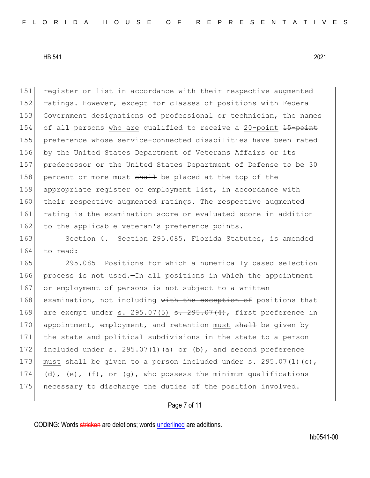151 register or list in accordance with their respective augmented 152 ratings. However, except for classes of positions with Federal 153 Government designations of professional or technician, the names 154 of all persons who are qualified to receive a 20-point 15-point 155 preference whose service-connected disabilities have been rated 156 by the United States Department of Veterans Affairs or its 157 predecessor or the United States Department of Defense to be 30 158 percent or more must shall be placed at the top of the 159 appropriate register or employment list, in accordance with 160 their respective augmented ratings. The respective augmented 161 rating is the examination score or evaluated score in addition 162 to the applicable veteran's preference points.

163 Section 4. Section 295.085, Florida Statutes, is amended 164 to read:

165 295.085 Positions for which a numerically based selection 166 process is not used.—In all positions in which the appointment 167 or employment of persons is not subject to a written 168 examination, not including with the exception of positions that 169 are exempt under s. 295.07(5)  $s. 295.07(4)$ , first preference in 170 appointment, employment, and retention must shall be given by 171 the state and political subdivisions in the state to a person 172 included under s. 295.07(1)(a) or (b), and second preference 173 must  $\frac{1}{3}$  be given to a person included under s. 295.07(1)(c), 174 (d), (e), (f), or (g), who possess the minimum qualifications 175 necessary to discharge the duties of the position involved.

## Page 7 of 11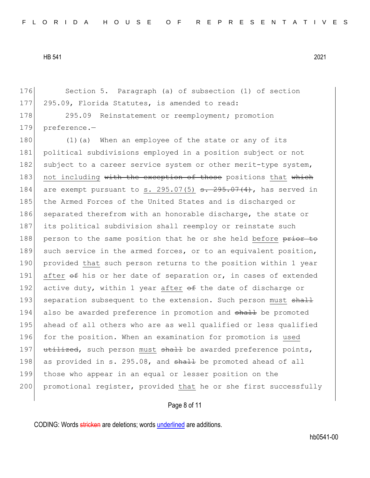176 Section 5. Paragraph (a) of subsection (1) of section 177 295.09, Florida Statutes, is amended to read:

178 295.09 Reinstatement or reemployment; promotion 179 preference.—

180 (1) (a) When an employee of the state or any of its 181 political subdivisions employed in a position subject or not 182 subject to a career service system or other merit-type system, 183 not including with the exception of those positions that which 184 are exempt pursuant to s. 295.07(5)  $s. 295.07(4)$ , has served in 185 the Armed Forces of the United States and is discharged or 186 separated therefrom with an honorable discharge, the state or 187 its political subdivision shall reemploy or reinstate such 188 person to the same position that he or she held before prior to 189 such service in the armed forces, or to an equivalent position, 190 provided that such person returns to the position within 1 year 191 after  $\theta$  f his or her date of separation or, in cases of extended 192 active duty, within 1 year after  $\theta$  the date of discharge or 193 separation subsequent to the extension. Such person must  $\frac{1}{3}$ 194 also be awarded preference in promotion and shall be promoted 195 ahead of all others who are as well qualified or less qualified 196 for the position. When an examination for promotion is used 197 utilized, such person must shall be awarded preference points, 198 as provided in s. 295.08, and  $shall$  be promoted ahead of all 199 those who appear in an equal or lesser position on the 200 promotional register, provided that he or she first successfully

## Page 8 of 11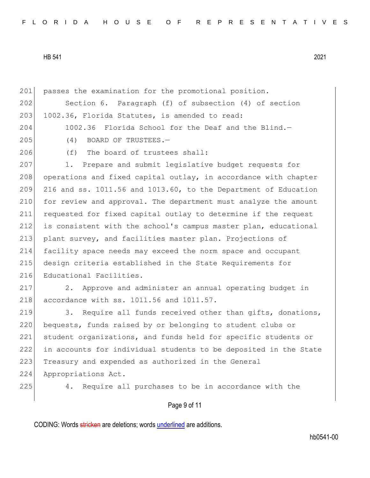Page 9 of 11 201 passes the examination for the promotional position. 202 Section 6. Paragraph (f) of subsection (4) of section 203 1002.36, Florida Statutes, is amended to read: 204 1002.36 Florida School for the Deaf and the Blind.-205 (4) BOARD OF TRUSTEES. 206 (f) The board of trustees shall: 207 1. Prepare and submit legislative budget requests for 208 operations and fixed capital outlay, in accordance with chapter  $209$  216 and ss. 1011.56 and 1013.60, to the Department of Education 210 for review and approval. The department must analyze the amount 211 requested for fixed capital outlay to determine if the request 212 is consistent with the school's campus master plan, educational 213 plant survey, and facilities master plan. Projections of 214 facility space needs may exceed the norm space and occupant 215 design criteria established in the State Requirements for 216 Educational Facilities. 217 2. Approve and administer an annual operating budget in 218 accordance with ss. 1011.56 and 1011.57. 219 3. Require all funds received other than gifts, donations, 220 bequests, funds raised by or belonging to student clubs or 221 student organizations, and funds held for specific students or 222 in accounts for individual students to be deposited in the State 223 Treasury and expended as authorized in the General 224 Appropriations Act. 225 4. Require all purchases to be in accordance with the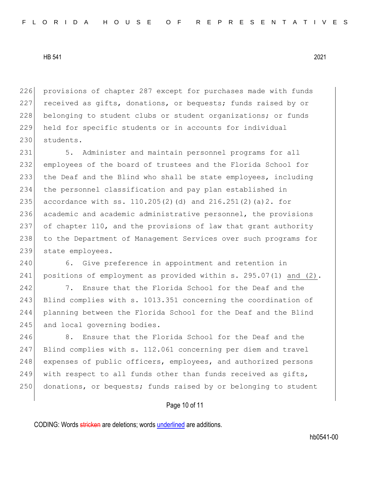226 provisions of chapter 287 except for purchases made with funds 227 received as gifts, donations, or bequests; funds raised by or 228 belonging to student clubs or student organizations; or funds 229 held for specific students or in accounts for individual 230 students.

231 5. Administer and maintain personnel programs for all 232 employees of the board of trustees and the Florida School for 233 the Deaf and the Blind who shall be state employees, including 234 the personnel classification and pay plan established in 235 accordance with ss.  $110.205(2)$  (d) and  $216.251(2)$  (a) 2. for 236 academic and academic administrative personnel, the provisions 237 of chapter 110, and the provisions of law that grant authority 238 to the Department of Management Services over such programs for 239 state employees.

240 6. Give preference in appointment and retention in 241 positions of employment as provided within s. 295.07(1) and (2).

242 7. Ensure that the Florida School for the Deaf and the 243 Blind complies with s. 1013.351 concerning the coordination of 244 planning between the Florida School for the Deaf and the Blind 245 and local governing bodies.

246 8. Ensure that the Florida School for the Deaf and the 247 Blind complies with s. 112.061 concerning per diem and travel 248 expenses of public officers, employees, and authorized persons 249 with respect to all funds other than funds received as gifts, 250 donations, or bequests; funds raised by or belonging to student

## Page 10 of 11